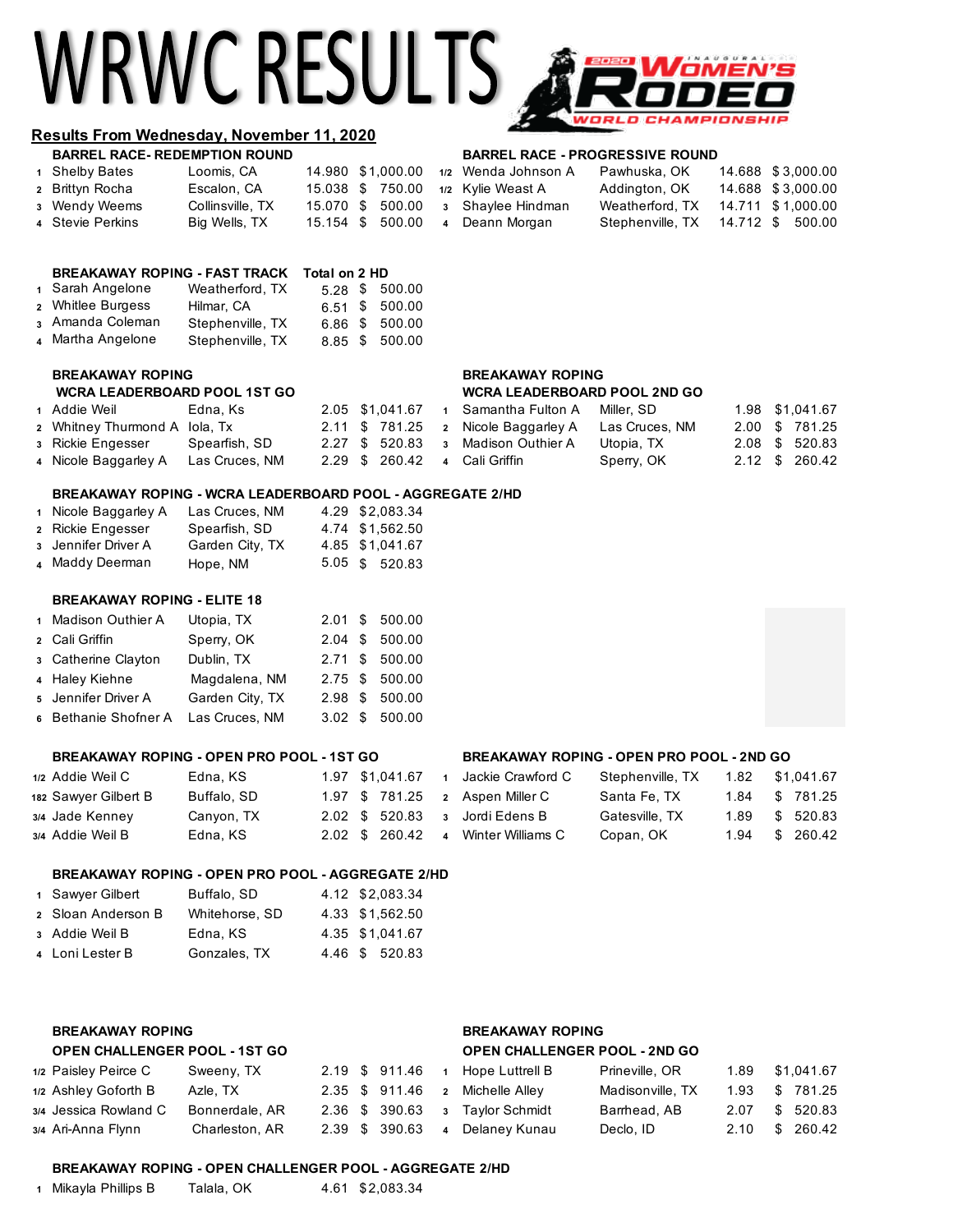# WRWC RESULTS,



### **Results From Wednesday, November 11, 2020**

| <b>BARREL RACE- REDEMPTION ROUND</b> |                  |                   | <b>BARREL RACE - PROGRESSIVE ROUND</b> |                                   |                   |
|--------------------------------------|------------------|-------------------|----------------------------------------|-----------------------------------|-------------------|
| 1 Shelby Bates                       | Loomis, CA       | 14.980 \$1.000.00 | 1/2 Wenda Johnson A                    | Pawhuska. OK                      | 14.688 \$3.000.00 |
| 2 Brittyn Rocha                      | Escalon, CA      |                   | 15.038 \$ 750.00 1/2 Kylie Weast A     | Addington, OK                     | 14.688 \$3,000.00 |
| 3 Wendy Weems                        | Collinsville, TX |                   | 15.070 \$ 500.00 3 Shaylee Hindman     | Weatherford, TX                   | 14.711 \$1,000.00 |
| 4 Stevie Perkins                     | Big Wells, TX    | 15.154 \$ 500.00  | 4 Deann Morgan                         | Stephenville, TX 14.712 \$ 500.00 |                   |

### **BREAKAWAY ROPING - FAST TRACK Total on 2 HD**<br>Sarah Angelane Meetherford TY 500 \$ 500.00 **1** Sarah Angelone Weatherford, TX 5.28 \$

| 1 Jalah Angelung  | weatheriord. TX  |  | 5.28 \$ 500.00 |
|-------------------|------------------|--|----------------|
| 2 Whitlee Burgess | Hilmar, CA       |  | 6.51 \$ 500.00 |
| 3 Amanda Coleman  | Stephenville, TX |  | 6.86 \$ 500.00 |
| 4 Martha Angelone | Stephenville, TX |  | 8.85 \$ 500.00 |
|                   |                  |  |                |

## **BREAKAWAY ROPING BREAKAWAY ROPING**

# **WCRA LEADERBOARD POOL 1ST GO WCRA LEADERBOARD POOL 2ND GO**

| 1 Addie Weil                  | Edna. Ks       | 2.05 \$1.041.67               | 1 Samantha Fulton A                               | Miller, SD |  | 1.98 \$1.041.67 |
|-------------------------------|----------------|-------------------------------|---------------------------------------------------|------------|--|-----------------|
| 2 Whitney Thurmond A Iola, Tx |                |                               | 2.11 \$781.25 2 Nicole Baggarley A Las Cruces, NM |            |  | 2.00 \$ 781.25  |
| 3 Rickie Engesser             | Spearfish, SD  |                               | 2.27 \$ 520.83 3 Madison Outhier A                | Utopia, TX |  | 2.08 \$ 520.83  |
| 4 Nicole Baggarley A          | Las Cruces, NM | 2.29 \$ 260.42 4 Cali Griffin |                                                   | Sperry, OK |  | 2.12 \$ 260.42  |

### **BREAKAWAY ROPING - WCRA LEADERBOARD POOL - AGGREGATE 2/HD**

| 1 Nicole Baggarley A | Las Cruces, NM  | 4.29 \$2.083.34 |
|----------------------|-----------------|-----------------|
| 2 Rickie Engesser    | Spearfish, SD   | 4.74 \$1,562.50 |
| 3 Jennifer Driver A  | Garden City, TX | 4.85 \$1,041.67 |
| 4 Maddy Deerman      | Hope, NM        | 5.05 \$ 520.83  |

### **BREAKAWAY ROPING - ELITE 18**

| 1 Madison Outhier A                 | Utopia, TX      |  | 2.01 \$ 500.00 |
|-------------------------------------|-----------------|--|----------------|
| 2 Cali Griffin                      | Sperry, OK      |  | 2.04 \$ 500.00 |
| 3 Catherine Clayton                 | Dublin, TX      |  | 2.71 \$ 500.00 |
| 4 Haley Kiehne                      | Magdalena, NM   |  | 2.75 \$ 500.00 |
| 5 Jennifer Driver A                 | Garden City, TX |  | 2.98 \$ 500.00 |
| 6 Bethanie Shofner A Las Cruces, NM |                 |  | 3.02 \$ 500.00 |

### **BREAKAWAY ROPING - OPEN PRO POOL - 1ST GO BREAKAWAY ROPING - OPEN PRO POOL - 2ND GO**

| 1/2 Addie Weil C     | Edna, KS    | 1.97 \$1.041.67                | Jackie Crawford C | Stephenville, TX | 1.82 | \$1,041.67     |
|----------------------|-------------|--------------------------------|-------------------|------------------|------|----------------|
| 182 Sawyer Gilbert B | Buffalo, SD | 1.97 \$781.25 2 Aspen Miller C |                   | Santa Fe. TX     |      | 1.84 \$ 781.25 |
| 3/4 Jade Kenney      | Canyon, TX  | 2.02 \$ 520.83 3 Jordi Edens B |                   | Gatesville, TX   |      | 1.89 \$ 520.83 |
| 3/4 Addie Weil B     | Edna, KS    | $2.02 \quad $260.42 \quad 4$   | Winter Williams C | Copan, OK        |      | 1.94 \$ 260.42 |

### **BREAKAWAY ROPING - OPEN PRO POOL - AGGREGATE 2/HD**

| 1 Sawyer Gilbert   | Buffalo, SD    | 4.12 \$2.083.34 |
|--------------------|----------------|-----------------|
| 2 Sloan Anderson B | Whitehorse, SD | 4.33 \$1.562.50 |
| 3 Addie Weil B     | Edna, KS       | 4.35 \$1.041.67 |
| 4 Loni Lester B    | Gonzales, TX   | 4.46 \$ 520.83  |

### **BREAKAWAY ROPING BREAKAWAY ROPING OPEN CHALLENGER POOL - 1ST GO OPEN CHALLENGER POOL - 2ND GO 1/2** Paisley Peirce C Sweeny, TX 2.19 \$ 911.46 **<sup>1</sup>** Hope Luttrell B Prineville, OR 1.89 \$1,041.67 **1/2** Ashley Goforth B Azle, TX 2.35 \$ 911.46 **<sup>2</sup>** Michelle Alley Madisonville, TX 1.93 \$ 781.25 **3/4** Jessica Rowland C Bonnerdale, AR 2.36 \$ 390.63 **<sup>3</sup>** Taylor Schmidt Barrhead, AB 2.07 \$ 520.83 **3/4** Ari-Anna Flynn Charleston, AR 2.39 \$ 390.63 **4** Delaney Kunau Declo, ID 2.10 \$ 260.42

### **BREAKAWAY ROPING - OPEN CHALLENGER POOL - AGGREGATE 2/HD**

|  | 1 Mikayla Phillips B | Talala, OK |  | 4.61 \$2,083.34 |
|--|----------------------|------------|--|-----------------|
|--|----------------------|------------|--|-----------------|